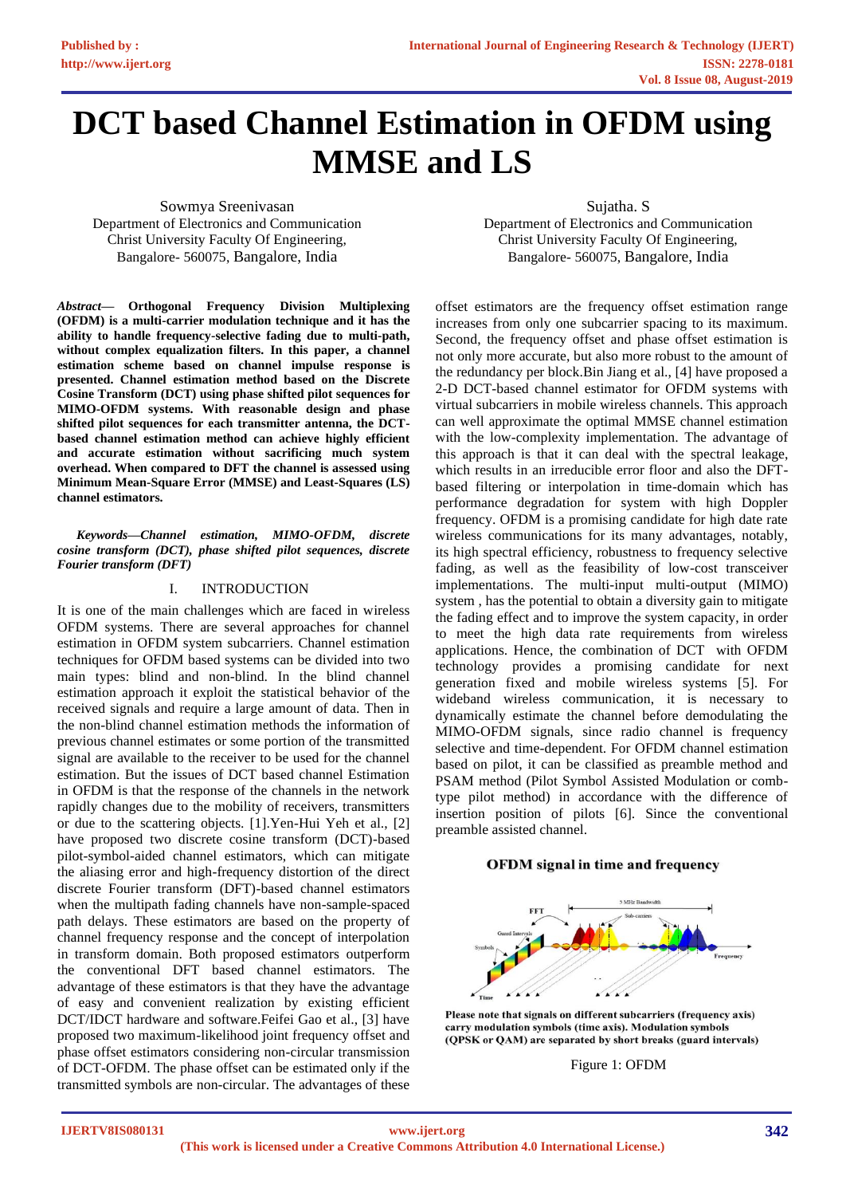# **DCT based Channel Estimation in OFDM using MMSE and LS**

Sowmya Sreenivasan Department of Electronics and Communication Christ University Faculty Of Engineering, Bangalore- 560075, Bangalore, India

Sujatha. S Department of Electronics and Communication Christ University Faculty Of Engineering, Bangalore- 560075, Bangalore, India

*Abstract***— Orthogonal Frequency Division Multiplexing (OFDM) is a multi-carrier modulation technique and it has the ability to handle frequency-selective fading due to multi-path, without complex equalization filters. In this paper, a channel estimation scheme based on channel impulse response is presented. Channel estimation method based on the Discrete Cosine Transform (DCT) using phase shifted pilot sequences for MIMO-OFDM systems. With reasonable design and phase shifted pilot sequences for each transmitter antenna, the DCTbased channel estimation method can achieve highly efficient and accurate estimation without sacrificing much system overhead. When compared to DFT the channel is assessed using Minimum Mean-Square Error (MMSE) and Least-Squares (LS) channel estimators.** 

*Keywords—Channel estimation, MIMO-OFDM, discrete cosine transform (DCT), phase shifted pilot sequences, discrete Fourier transform (DFT)*

## I. INTRODUCTION

It is one of the main challenges which are faced in wireless OFDM systems. There are several approaches for channel estimation in OFDM system subcarriers. Channel estimation techniques for OFDM based systems can be divided into two main types: blind and non-blind. In the blind channel estimation approach it exploit the statistical behavior of the received signals and require a large amount of data. Then in the non-blind channel estimation methods the information of previous channel estimates or some portion of the transmitted signal are available to the receiver to be used for the channel estimation. But the issues of DCT based channel Estimation in OFDM is that the response of the channels in the network rapidly changes due to the mobility of receivers, transmitters or due to the scattering objects. [1].Yen-Hui Yeh et al., [2] have proposed two discrete cosine transform (DCT)-based pilot-symbol-aided channel estimators, which can mitigate the aliasing error and high-frequency distortion of the direct discrete Fourier transform (DFT)-based channel estimators when the multipath fading channels have non-sample-spaced path delays. These estimators are based on the property of channel frequency response and the concept of interpolation in transform domain. Both proposed estimators outperform the conventional DFT based channel estimators. The advantage of these estimators is that they have the advantage of easy and convenient realization by existing efficient DCT/IDCT hardware and software.Feifei Gao et al., [3] have proposed two maximum-likelihood joint frequency offset and phase offset estimators considering non-circular transmission of DCT-OFDM. The phase offset can be estimated only if the transmitted symbols are non-circular. The advantages of these

offset estimators are the frequency offset estimation range increases from only one subcarrier spacing to its maximum. Second, the frequency offset and phase offset estimation is not only more accurate, but also more robust to the amount of the redundancy per block.Bin Jiang et al., [4] have proposed a 2-D DCT-based channel estimator for OFDM systems with virtual subcarriers in mobile wireless channels. This approach can well approximate the optimal MMSE channel estimation with the low-complexity implementation. The advantage of this approach is that it can deal with the spectral leakage, which results in an irreducible error floor and also the DFTbased filtering or interpolation in time-domain which has performance degradation for system with high Doppler frequency. OFDM is a promising candidate for high date rate wireless communications for its many advantages, notably, its high spectral efficiency, robustness to frequency selective fading, as well as the feasibility of low-cost transceiver implementations. The multi-input multi-output (MIMO) system , has the potential to obtain a diversity gain to mitigate the fading effect and to improve the system capacity, in order to meet the high data rate requirements from wireless applications. Hence, the combination of DCT with OFDM technology provides a promising candidate for next generation fixed and mobile wireless systems [5]. For wideband wireless communication, it is necessary to dynamically estimate the channel before demodulating the MIMO-OFDM signals, since radio channel is frequency selective and time-dependent. For OFDM channel estimation based on pilot, it can be classified as preamble method and PSAM method (Pilot Symbol Assisted Modulation or combtype pilot method) in accordance with the difference of insertion position of pilots [6]. Since the conventional preamble assisted channel.

### **OFDM** signal in time and frequency



Please note that signals on different subcarriers (frequency axis) carry modulation symbols (time axis). Modulation symbols (QPSK or QAM) are separated by short breaks (guard intervals)

Figure 1: OFDM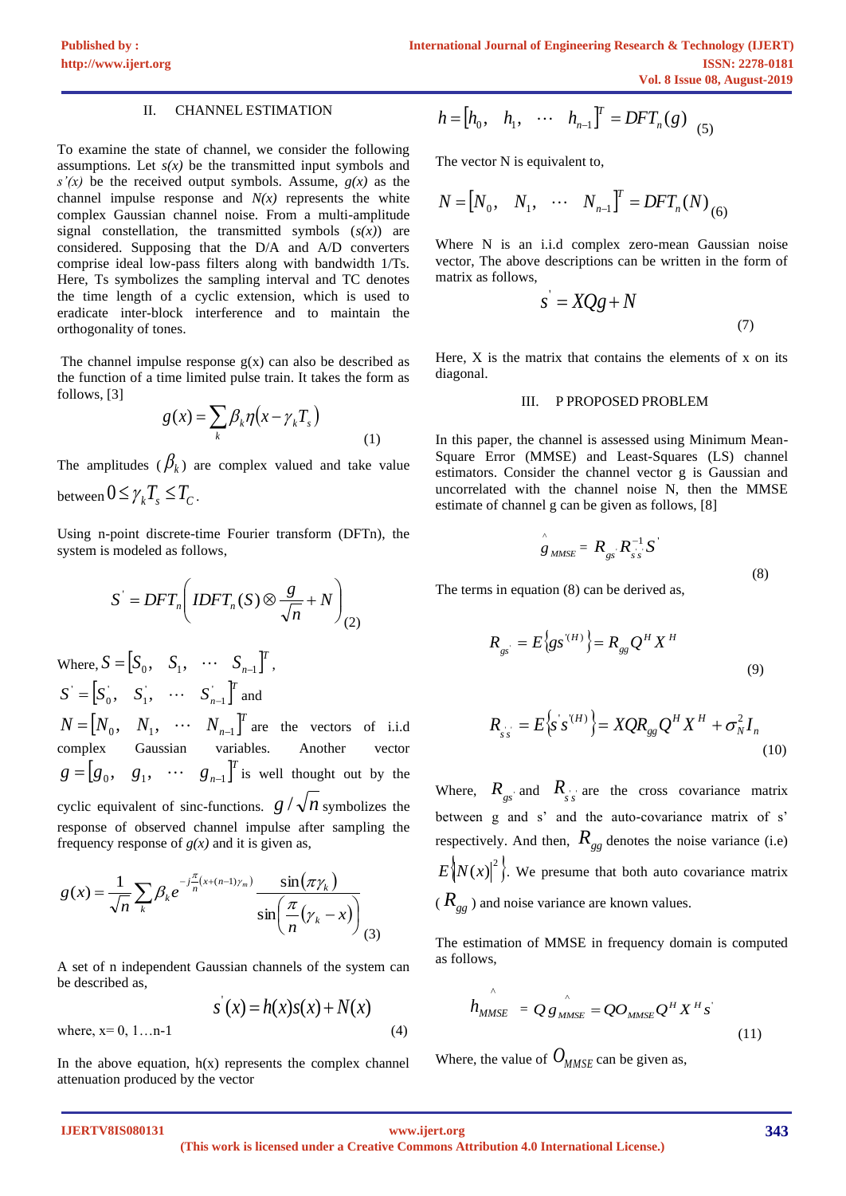## II. CHANNEL ESTIMATION

To examine the state of channel, we consider the following assumptions. Let  $s(x)$  be the transmitted input symbols and *s'(x)* be the received output symbols. Assume, *g(x)* as the channel impulse response and  $N(x)$  represents the white complex Gaussian channel noise. From a multi-amplitude signal constellation, the transmitted symbols (*s(x)*) are considered. Supposing that the D/A and A/D converters comprise ideal low-pass filters along with bandwidth 1/Ts. Here, Ts symbolizes the sampling interval and TC denotes the time length of a cyclic extension, which is used to eradicate inter-block interference and to maintain the orthogonality of tones.

The channel impulse response  $g(x)$  can also be described as the function of a time limited pulse train. It takes the form as follows, [3]

$$
g(x) = \sum_{k} \beta_{k} \eta \left( x - \gamma_{k} T_{s} \right) \tag{1}
$$

The amplitudes  $(\beta_k)$  are complex valued and take value between  $0 \leq \gamma_k T_s \leq T_c$ .

Using n-point discrete-time Fourier transform (DFTn), the system is modeled as follows,

$$
S^{'} = DFT_n \bigg( IDFT_n(S) \otimes \frac{g}{\sqrt{n}} + N \bigg)_{(2)}
$$

Where,  $S = \begin{bmatrix} S_0, & S_1, & \cdots & S_{n-1} \end{bmatrix}^T$  $S = [S_0, S_1, \cdots S_{n-1}]'$ ,  $S' = \begin{bmatrix} S_0', & S_1', & \cdots & S_{n-1}' \end{bmatrix}^T$  and  $N = [N_0, N_1, \cdots N_{n-1}]^T$  are the vectors of i.i.d complex Gaussian variables. Another  $[g_0, g_1, \cdots g_{n-1}]^T$  $g = [g_0, g_1, \cdots g_{n-1}]^T$  is well thought out by the cyclic equivalent of sinc-functions.  $g / \sqrt{n}$  symbolizes the response of observed channel impulse after sampling the frequency response of  $g(x)$  and it is given as,

$$
g(x) = \frac{1}{\sqrt{n}} \sum_{k} \beta_k e^{-j\frac{\pi}{n}(x + (n-1)\gamma_m)} \frac{\sin(\pi \gamma_k)}{\sin(\frac{\pi}{n}(\gamma_k - x))}
$$

A set of n independent Gaussian channels of the system can be described as,

( ) ( ) ( ) ( ) *s x* = *h x s x* + *N x* where, x= 0, 1…n-1 (4)

In the above equation,  $h(x)$  represents the complex channel attenuation produced by the vector

$$
h = [h_0, h_1, \cdots h_{n-1}]^T = DFT_n(g)_{(5)}
$$

The vector N is equivalent to,

$$
N = [N_0, N_1, \cdots N_{n-1}]^T = DFT_n(N)_{(6)}
$$

Where N is an i.i.d complex zero-mean Gaussian noise vector, The above descriptions can be written in the form of matrix as follows,

$$
s' = XQg + N \tag{7}
$$

Here,  $X$  is the matrix that contains the elements of  $x$  on its diagonal.

#### III. P PROPOSED PROBLEM

In this paper, the channel is assessed using Minimum Mean-Square Error (MMSE) and Least-Squares (LS) channel estimators. Consider the channel vector g is Gaussian and uncorrelated with the channel noise N, then the MMSE estimate of channel g can be given as follows, [8]

$$
\hat{g}_{MMSE} = R_{gs} R_{ss}^{-1} S
$$
\n(8)

The terms in equation (8) can be derived as,

$$
R_{gs} = E\left\{gs^{(H)}\right\} = R_{gg}Q^H X^H
$$
\n(9)

$$
R_{ss} = E\left\{s\ s^{(H)}\right\} = XQR_{gg}Q^H X^H + \sigma_N^2 I_n
$$
\n(10)

Where,  $R_{gs}$  and  $R_{ss}$  are the cross covariance matrix between g and s' and the auto-covariance matrix of s' respectively. And then,  $R_{gg}$  denotes the noise variance (i.e)  $E\left\{N(x)\right\}^2$ . We presume that both auto covariance matrix ( *Rgg* ) and noise variance are known values.

The estimation of MMSE in frequency domain is computed as follows,

$$
h_{MMSE}^{\hat{\sigma}} = Q g_{MMSE}^{\hat{\sigma}} = Q O_{MMSE} Q^H X^H s^{\hat{\sigma}}
$$
\n(11)

Where, the value of  $O_{MMSE}$  can be given as,